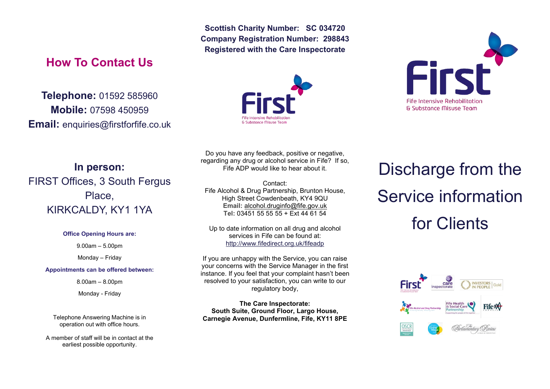**Scottish Charity Number: SC 034720 Company Registration Number: 298843 Registered with the Care Inspectorate**

# **How To Contact Us**

**Telephone:** 01592 585960 **Mobile:** 07598 450959 **Email:** enquiries@firstforfife.co.uk





**In person:** FIRST Offices, 3 South Fergus Place, KIRKCALDY, KY1 1YA

**Office Opening Hours are:**

9.00am – 5.00pm

Monday – Friday

**Appointments can be offered between:**

8.00am – 8.00pm

Monday - Friday

Telephone Answering Machine is in operation out with office hours.

A member of staff will be in contact at the earliest possible opportunity.

Do you have any feedback, positive or negative, regarding any drug or alcohol service in Fife? If so, Fife ADP would like to hear about it.

Contact: Fife Alcohol & Drug Partnership, Brunton House, High Street Cowdenbeath, KY4 9QU **Email:** [alcohol.druginfo@fife.gov.uk](mailto:alcohol.druginfo@fife.gov.uk) **Tel:** 03451 55 55 55 + Ext 44 61 54

Up to date information on all drug and alcohol services in Fife can be found at: <http://www.fifedirect.org.uk/fifeadp>

If you are unhappy with the Service, you can raise your concerns with the Service Manager in the first instance. If you feel that your complaint hasn't been resolved to your satisfaction, you can write to our regulatory body.

**The Care Inspectorate: South Suite, Ground Floor, Largo House, Carnegie Avenue, Dunfermline, Fife, KY11 8PE**

# Discharge from the Service information for Clients